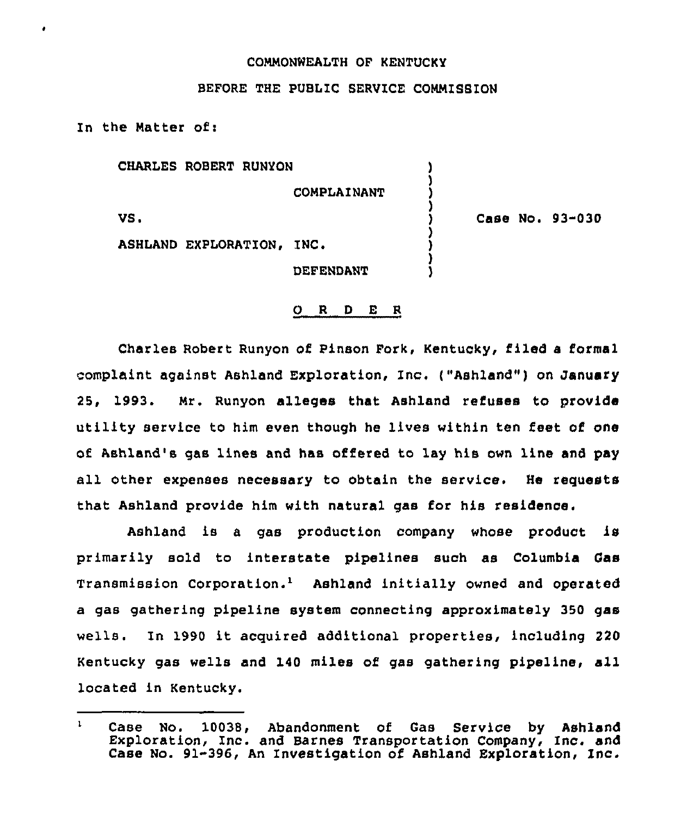## COMMONWEALTH OF KENTUCKY

## BEFORE THE PUBLIC SERVICE COMMISSION

In the Natter of:

CHARLES ROBERT RUNYON

COMPLAINANT

) ) ) )

) ) ) 1

VS.

) Case No. 93-030

ASHLAND EXPLORATION, INC.

DEFENDANT

## 0 <sup>R</sup> <sup>D</sup> E <sup>R</sup>

Charles Robert Runyon of Pinson Fork, Kentucky, filed a formal complaint against Ashland Exploration, Inc. ("Ashland") on January 25, 1993. Mr. Runyon alleges that Ashland refuses to provide utility service to him even though he lives within ten feet of one of Ashland's gas lines and has offered to lay his own line and pay all other expenses necessary to obtain the service. He requests that Ashland provide him with natural gas for his residence.

Ashland is <sup>a</sup> gas production company whose product is primarily sold to interstate pipelines such as Columbia Gas Transmission Corporation.<sup>1</sup> Ashland initially owned and operated a gas gathering pipeline system connecting approximately 350 gas wells. In 1990 it acquired additional properties, including <sup>220</sup> Kentucky gas wells and 140 miles of gas gathering pipeline, all located in Kentucky.

 $\mathbf{1}$ Case No. 10038, Abandonment of Gas Service by Ashlan Exploration, Inc. and Barnes Transportation Company, Inc. and Case No. 91-396, An Investigation of Ashland Exploration, Inc.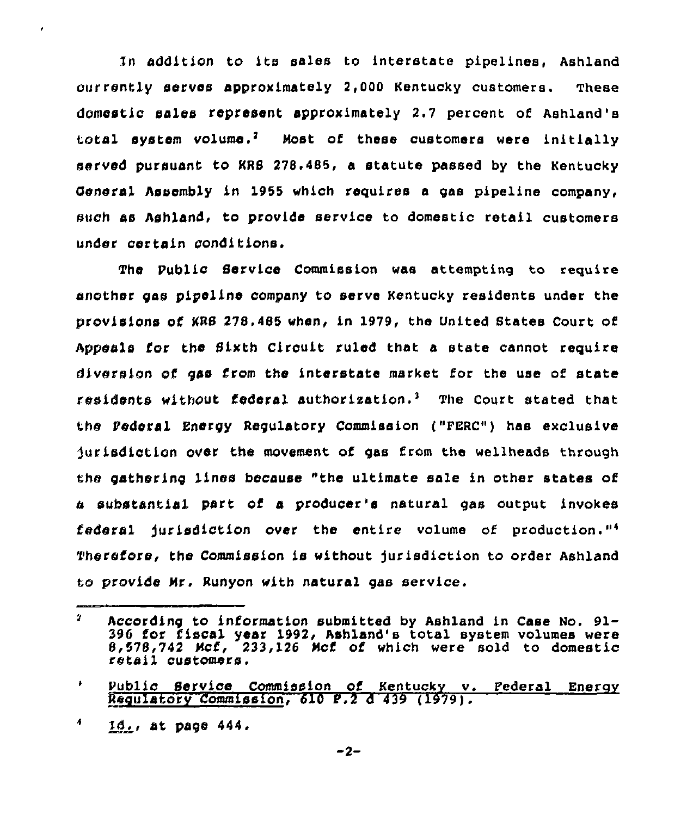ln addition to its sales to interstate pipelines, Ashland currently secvos approximately 2,000 Kentucky customers. These domestic sales cepcesent approximately 2.7 percent of Ashland's total system volume.<sup>2</sup> Most of these customers were initially served pursuant to KRS 278,485, a statute passed by the Kentucky General Assombly in 1955 which requires a gas pipeline company, such as Ashland, to provide service to domestic retail customers under certain conditions.

The Public Service Commission was attempting to require another gas pipeline company to serve Kentucky residents under the provisions of KRS 278,485 when, in 1979, the United States Court of Appeals for the Sixth Circuit ruled that a state cannot require diversion of gas from the interstate market for the use of state residents without federal authorization.<sup>3</sup> The Court stated that the Pederal Energy Regulatory Commission ("FERC") has exclusive jurisdiction over the movement of gas from the wellheads through the gathering lines because "the ultimate sale in other states of substantial part of a pcoducer's natural gas output invokes federal jurisdiction over the entire volume of production."<sup>4</sup> Therefore, the Commission is without jurisdiction to order Ashland to provide Nr. Runyon with natural gas service.

 $\overline{\mathbf{A}}$ Xd,, at page 444.

 $\pmb{\prime}$ 

 $\mathbf{r}$ According to infocmation submitted by Ashland in Case No. 91- 396 for fiscal year 1992, Ashland's total system volumes were 8,578,742 Ncf, 233,126 Mcf of which were sold to domestic retail customers.

 $\bullet$ Public Service Commission of Kentucky v. Pederal Energy Regulatory Commission, <sup>610</sup> P.2 <sup>d</sup> <sup>439</sup> (1979).